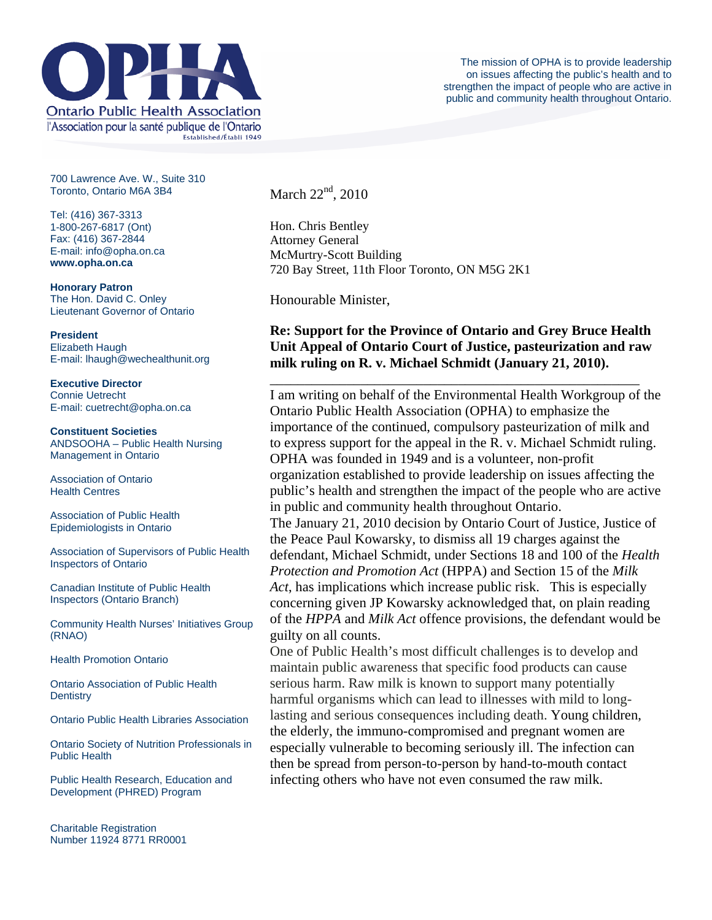

700 Lawrence Ave. W., Suite 310 Toronto, Ontario M6A 3B4

Tel: (416) 367-3313 1-800-267-6817 (Ont) Fax: (416) 367-2844 E-mail: info@opha.on.ca **www.opha.on.ca** 

**Honorary Patron**  The Hon. David C. Onley Lieutenant Governor of Ontario

**President**  Elizabeth Haugh E-mail: lhaugh@wechealthunit.org

**Executive Director**  Connie Uetrecht E-mail: cuetrecht@opha.on.ca

**Constituent Societies**  ANDSOOHA – Public Health Nursing Management in Ontario

Association of Ontario Health Centres

Association of Public Health Epidemiologists in Ontario

Association of Supervisors of Public Health Inspectors of Ontario

Canadian Institute of Public Health Inspectors (Ontario Branch)

Community Health Nurses' Initiatives Group (RNAO)

Health Promotion Ontario

Ontario Association of Public Health **Dentistry** 

Ontario Public Health Libraries Association

Ontario Society of Nutrition Professionals in Public Health

Public Health Research, Education and Development (PHRED) Program

Charitable Registration Number 11924 8771 RR0001 March  $22<sup>nd</sup>$ , 2010

Hon. Chris Bentley Attorney General McMurtry-Scott Building 720 Bay Street, 11th Floor Toronto, ON M5G 2K1

Honourable Minister,

## **Re: Support for the Province of Ontario and Grey Bruce Health Unit Appeal of Ontario Court of Justice, pasteurization and raw milk ruling on R. v. Michael Schmidt (January 21, 2010).**

\_\_\_\_\_\_\_\_\_\_\_\_\_\_\_\_\_\_\_\_\_\_\_\_\_\_\_\_\_\_\_\_\_\_\_\_\_\_\_\_\_\_\_\_\_\_\_\_\_\_\_\_\_ I am writing on behalf of the Environmental Health Workgroup of the Ontario Public Health Association (OPHA) to emphasize the importance of the continued, compulsory pasteurization of milk and to express support for the appeal in the R. v. Michael Schmidt ruling. OPHA was founded in 1949 and is a volunteer, non-profit organization established to provide leadership on issues affecting the public's health and strengthen the impact of the people who are active in public and community health throughout Ontario. The January 21, 2010 decision by Ontario Court of Justice, Justice of the Peace Paul Kowarsky, to dismiss all 19 charges against the defendant, Michael Schmidt, under Sections 18 and 100 of the *Health Protection and Promotion Act* (HPPA) and Section 15 of the *Milk Act*, has implications which increase public risk. This is especially concerning given JP Kowarsky acknowledged that, on plain reading

of the *HPPA* and *Milk Act* offence provisions, the defendant would be guilty on all counts.

One of Public Health's most difficult challenges is to develop and maintain public awareness that specific food products can cause serious harm. Raw milk is known to support many potentially harmful organisms which can lead to illnesses with mild to longlasting and serious consequences including death. Young children, the elderly, the immuno-compromised and pregnant women are especially vulnerable to becoming seriously ill. The infection can then be spread from person-to-person by hand-to-mouth contact infecting others who have not even consumed the raw milk.